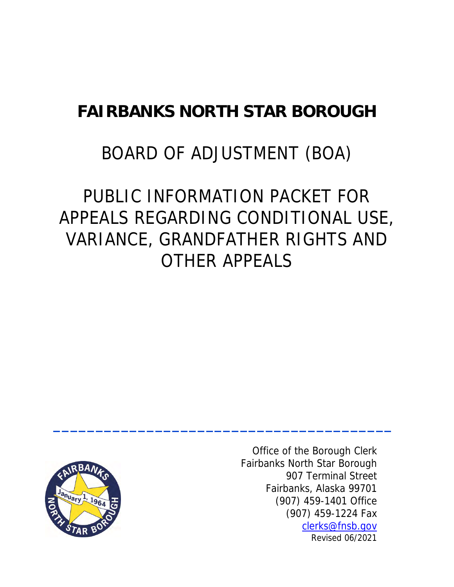# **FAIRBANKS NORTH STAR BOROUGH**

# BOARD OF ADJUSTMENT (BOA)

# PUBLIC INFORMATION PACKET FOR APPEALS REGARDING CONDITIONAL USE, VARIANCE, GRANDFATHER RIGHTS AND OTHER APPEALS

**\_\_\_\_\_\_\_\_\_\_\_\_\_\_\_\_\_\_\_\_\_\_\_\_\_\_\_\_\_\_\_\_\_\_\_\_\_\_\_\_**



Office of the Borough Clerk Fairbanks North Star Borough 907 Terminal Street Fairbanks, Alaska 99701 (907) 459-1401 Office (907) 459-1224 Fax [clerks@fnsb.gov](mailto:clerks@fnsb.gov)  Revised 06/2021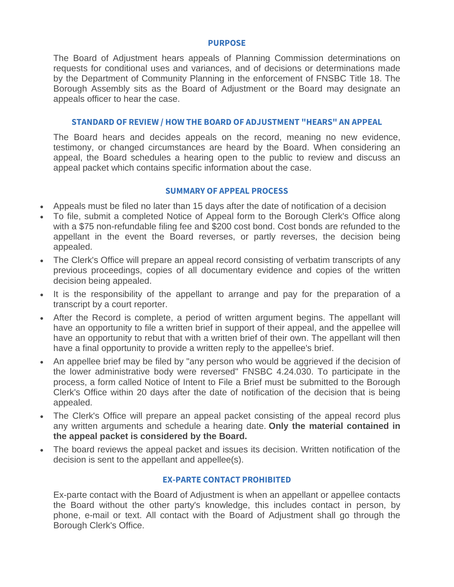#### **PURPOSE**

The Board of Adjustment hears appeals of Planning Commission determinations on requests for conditional uses and variances, and of decisions or determinations made by the Department of Community Planning in the enforcement of FNSBC Title 18. The Borough Assembly sits as the Board of Adjustment or the Board may designate an appeals officer to hear the case.

## **STANDARD OF REVIEW / HOW THE BOARD OF ADJUSTMENT "HEARS" AN APPEAL**

The Board hears and decides appeals on the record, meaning no new evidence, testimony, or changed circumstances are heard by the Board. When considering an appeal, the Board schedules a hearing open to the public to review and discuss an appeal packet which contains specific information about the case.

#### **SUMMARY OF APPEAL PROCESS**

- Appeals must be filed no later than 15 days after the date of notification of a decision
- To file, submit a completed Notice of Appeal form to the Borough Clerk's Office along with a \$75 non-refundable filing fee and \$200 cost bond. Cost bonds are refunded to the appellant in the event the Board reverses, or partly reverses, the decision being appealed.
- The Clerk's Office will prepare an appeal record consisting of verbatim transcripts of any previous proceedings, copies of all documentary evidence and copies of the written decision being appealed.
- It is the responsibility of the appellant to arrange and pay for the preparation of a transcript by a court reporter.
- After the Record is complete, a period of written argument begins. The appellant will have an opportunity to file a written brief in support of their appeal, and the appellee will have an opportunity to rebut that with a written brief of their own. The appellant will then have a final opportunity to provide a written reply to the appellee's brief.
- An appellee brief may be filed by "any person who would be aggrieved if the decision of the lower administrative body were reversed" FNSBC 4.24.030. To participate in the process, a form called Notice of Intent to File a Brief must be submitted to the Borough Clerk's Office within 20 days after the date of notification of the decision that is being appealed.
- The Clerk's Office will prepare an appeal packet consisting of the appeal record plus any written arguments and schedule a hearing date. **Only the material contained in the appeal packet is considered by the Board.**
- The board reviews the appeal packet and issues its decision. Written notification of the decision is sent to the appellant and appellee(s).

#### **EX-PARTE CONTACT PROHIBITED**

Ex-parte contact with the Board of Adjustment is when an appellant or appellee contacts the Board without the other party's knowledge, this includes contact in person, by phone, e-mail or text. All contact with the Board of Adjustment shall go through the Borough Clerk's Office.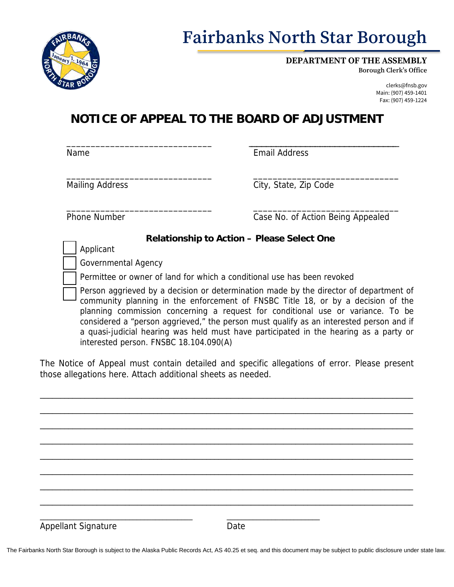

# **Fairbanks North Star Borough**

**DEPARTMENT OF THE ASSEMBLY**

**Borough Clerk's Office**

clerks@fnsb.gov Main: (907) 459-1401 Fax: (907) 459-1224

# **NOTICE OF APPEAL TO THE BOARD OF ADJUSTMENT**

\_\_\_\_\_\_\_\_\_\_\_\_\_\_\_\_\_\_\_\_\_\_\_\_\_\_\_\_\_\_ Name

\_\_\_\_\_ \_\_\_\_\_\_\_ \_\_\_\_\_\_\_\_\_\_\_\_\_\_\_\_\_\_\_ \_\_\_\_\_\_\_\_\_\_\_ \_\_\_\_\_\_\_\_\_\_\_\_ \_\_ Email Address

Mailing Address

\_\_\_\_\_\_\_\_\_\_\_\_\_\_\_\_\_\_\_\_\_\_\_\_\_\_\_\_\_\_ City, State, Zip Code

\_\_\_\_\_\_\_\_\_\_\_\_\_\_\_\_\_\_\_\_\_\_\_\_\_\_\_\_\_\_ \_\_\_\_\_\_\_\_\_\_\_\_\_\_\_\_\_\_\_\_\_\_\_\_\_\_\_\_\_\_ Phone Number **Case No. of Action Being Appealed** 

# **Relationship to Action – Please Select One**

Applicant

Governmental Agency

\_\_\_\_\_\_\_\_\_\_\_\_\_\_\_\_\_\_\_\_\_\_\_\_\_\_\_\_\_\_

Permittee or owner of land for which a conditional use has been revoked

Person aggrieved by a decision or determination made by the director of department of community planning in the enforcement of FNSBC Title 18, or by a decision of the planning commission concerning a request for conditional use or variance. To be considered a "person aggrieved," the person must qualify as an interested person and if a quasi-judicial hearing was held must have participated in the hearing as a party or interested person. FNSBC 18.104.090(A)

The Notice of Appeal must contain detailed and specific allegations of error. Please present those allegations here. Attach additional sheets as needed.

\_\_\_\_\_\_\_\_\_\_\_\_\_\_\_\_\_\_\_\_\_\_\_\_\_\_\_\_\_\_\_\_\_\_\_\_\_\_\_\_\_\_\_\_\_\_\_\_\_\_\_\_\_\_\_\_\_\_\_\_\_\_\_\_\_\_\_\_\_\_\_\_\_\_\_\_\_\_\_\_\_\_\_\_\_\_\_\_\_\_\_\_ \_\_\_\_\_\_\_\_\_\_\_\_\_\_\_\_\_\_\_\_\_\_\_\_\_\_\_\_\_\_\_\_\_\_\_\_\_\_\_\_\_\_\_\_\_\_\_\_\_\_\_\_\_\_\_\_\_\_\_\_\_\_\_\_\_\_\_\_\_\_\_\_\_\_\_\_\_\_\_\_\_\_\_\_\_\_\_\_\_\_\_\_ \_\_\_\_\_\_\_\_\_\_\_\_\_\_\_\_\_\_\_\_\_\_\_\_\_\_\_\_\_\_\_\_\_\_\_\_\_\_\_\_\_\_\_\_\_\_\_\_\_\_\_\_\_\_\_\_\_\_\_\_\_\_\_\_\_\_\_\_\_\_\_\_\_\_\_\_\_\_\_\_\_\_\_\_\_\_\_\_\_\_\_\_ \_\_\_\_\_\_\_\_\_\_\_\_\_\_\_\_\_\_\_\_\_\_\_\_\_\_\_\_\_\_\_\_\_\_\_\_\_\_\_\_\_\_\_\_\_\_\_\_\_\_\_\_\_\_\_\_\_\_\_\_\_\_\_\_\_\_\_\_\_\_\_\_\_\_\_\_\_\_\_\_\_\_\_\_\_\_\_\_\_\_\_\_ \_\_\_\_\_\_\_\_\_\_\_\_\_\_\_\_\_\_\_\_\_\_\_\_\_\_\_\_\_\_\_\_\_\_\_\_\_\_\_\_\_\_\_\_\_\_\_\_\_\_\_\_\_\_\_\_\_\_\_\_\_\_\_\_\_\_\_\_\_\_\_\_\_\_\_\_\_\_\_\_\_\_\_\_\_\_\_\_\_\_\_\_ \_\_\_\_\_\_\_\_\_\_\_\_\_\_\_\_\_\_\_\_\_\_\_\_\_\_\_\_\_\_\_\_\_\_\_\_\_\_\_\_\_\_\_\_\_\_\_\_\_\_\_\_\_\_\_\_\_\_\_\_\_\_\_\_\_\_\_\_\_\_\_\_\_\_\_\_\_\_\_\_\_\_\_\_\_\_\_\_\_\_\_\_ \_\_\_\_\_\_\_\_\_\_\_\_\_\_\_\_\_\_\_\_\_\_\_\_\_\_\_\_\_\_\_\_\_\_\_\_\_\_\_\_\_\_\_\_\_\_\_\_\_\_\_\_\_\_\_\_\_\_\_\_\_\_\_\_\_\_\_\_\_\_\_\_\_\_\_\_\_\_\_\_\_\_\_\_\_\_\_\_\_\_\_\_ \_\_\_\_\_\_\_\_\_\_\_\_\_\_\_\_\_\_\_\_\_\_\_\_\_\_\_\_\_\_\_\_\_\_\_\_\_\_\_\_\_\_\_\_\_\_\_\_\_\_\_\_\_\_\_\_\_\_\_\_\_\_\_\_\_\_\_\_\_\_\_\_\_\_\_\_\_\_\_\_\_\_\_\_\_\_\_\_\_\_\_\_ \_\_\_\_\_\_\_\_\_\_\_\_\_\_\_\_\_\_\_\_\_\_\_\_\_\_\_\_\_\_\_\_\_\_\_\_\_\_\_\_\_ \_\_\_\_\_\_\_\_\_\_\_\_\_\_\_\_\_\_\_\_\_\_\_\_\_ Appellant Signature Date

The Fairbanks North Star Borough is subject to the Alaska Public Records Act, AS 40.25 et seq. and this document may be subject to public disclosure under state law.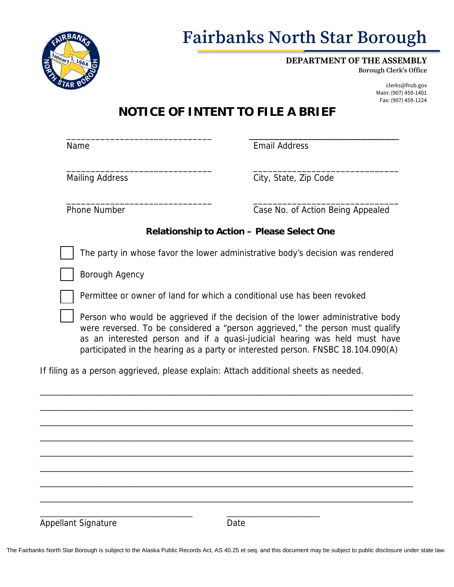

# **Fairbanks North Star Borough**

**DEPARTMENT OF THE ASSEMBLY**

**Borough Clerk's Office**

clerks@fnsb.gov Main: (907) 459-1401 Fax: (907) 459-1224

# **NOTICE OF INTENT TO FILE A BRIEF**

\_\_\_\_\_\_\_\_\_\_\_\_\_\_\_\_\_\_\_\_\_\_\_\_\_\_\_\_\_\_ Name

Email Address

\_\_\_\_\_\_\_\_\_\_\_\_\_\_\_\_\_\_\_\_\_\_\_\_\_\_\_\_\_\_ Mailing Address

\_\_\_\_\_\_\_\_\_\_\_\_\_\_\_\_\_\_\_\_\_\_\_\_\_\_\_\_\_\_ City, State, Zip Code

\_\_\_\_\_\_\_\_\_\_\_\_\_\_\_\_\_\_\_\_\_\_\_\_\_\_\_\_\_\_ \_\_\_\_\_\_\_\_\_\_\_\_\_\_\_\_\_\_\_\_\_\_\_\_\_\_\_\_\_\_ Phone Number **Case No. of Action Being Appealed** 

\_\_\_\_\_ \_\_\_\_\_\_\_ \_\_\_\_\_\_\_\_\_\_\_\_\_\_\_\_\_\_\_ \_\_\_\_\_\_\_\_\_\_\_ \_\_\_\_\_\_\_\_\_\_\_\_ \_\_

# **Relationship to Action – Please Select One**

The party in whose favor the lower administrative body's decision was rendered

Borough Agency

Permittee or owner of land for which a conditional use has been revoked

Person who would be aggrieved if the decision of the lower administrative body were reversed. To be considered a "person aggrieved," the person must qualify as an interested person and if a quasi-judicial hearing was held must have participated in the hearing as a party or interested person. FNSBC 18.104.090(A)

If filing as a person aggrieved, please explain: Attach additional sheets as needed.

\_\_\_\_\_\_\_\_\_\_\_\_\_\_\_\_\_\_\_\_\_\_\_\_\_\_\_\_\_\_\_\_\_\_\_\_\_\_\_\_\_\_\_\_\_\_\_\_\_\_\_\_\_\_\_\_\_\_\_\_\_\_\_\_\_\_\_\_\_\_\_\_\_\_\_\_\_\_\_\_\_\_\_\_\_\_\_\_\_\_\_\_ \_\_\_\_\_\_\_\_\_\_\_\_\_\_\_\_\_\_\_\_\_\_\_\_\_\_\_\_\_\_\_\_\_\_\_\_\_\_\_\_\_\_\_\_\_\_\_\_\_\_\_\_\_\_\_\_\_\_\_\_\_\_\_\_\_\_\_\_\_\_\_\_\_\_\_\_\_\_\_\_\_\_\_\_\_\_\_\_\_\_\_\_ \_\_\_\_\_\_\_\_\_\_\_\_\_\_\_\_\_\_\_\_\_\_\_\_\_\_\_\_\_\_\_\_\_\_\_\_\_\_\_\_\_\_\_\_\_\_\_\_\_\_\_\_\_\_\_\_\_\_\_\_\_\_\_\_\_\_\_\_\_\_\_\_\_\_\_\_\_\_\_\_\_\_\_\_\_\_\_\_\_\_\_\_ \_\_\_\_\_\_\_\_\_\_\_\_\_\_\_\_\_\_\_\_\_\_\_\_\_\_\_\_\_\_\_\_\_\_\_\_\_\_\_\_\_\_\_\_\_\_\_\_\_\_\_\_\_\_\_\_\_\_\_\_\_\_\_\_\_\_\_\_\_\_\_\_\_\_\_\_\_\_\_\_\_\_\_\_\_\_\_\_\_\_\_\_ \_\_\_\_\_\_\_\_\_\_\_\_\_\_\_\_\_\_\_\_\_\_\_\_\_\_\_\_\_\_\_\_\_\_\_\_\_\_\_\_\_\_\_\_\_\_\_\_\_\_\_\_\_\_\_\_\_\_\_\_\_\_\_\_\_\_\_\_\_\_\_\_\_\_\_\_\_\_\_\_\_\_\_\_\_\_\_\_\_\_\_\_ \_\_\_\_\_\_\_\_\_\_\_\_\_\_\_\_\_\_\_\_\_\_\_\_\_\_\_\_\_\_\_\_\_\_\_\_\_\_\_\_\_\_\_\_\_\_\_\_\_\_\_\_\_\_\_\_\_\_\_\_\_\_\_\_\_\_\_\_\_\_\_\_\_\_\_\_\_\_\_\_\_\_\_\_\_\_\_\_\_\_\_\_ \_\_\_\_\_\_\_\_\_\_\_\_\_\_\_\_\_\_\_\_\_\_\_\_\_\_\_\_\_\_\_\_\_\_\_\_\_\_\_\_\_\_\_\_\_\_\_\_\_\_\_\_\_\_\_\_\_\_\_\_\_\_\_\_\_\_\_\_\_\_\_\_\_\_\_\_\_\_\_\_\_\_\_\_\_\_\_\_\_\_\_\_ \_\_\_\_\_\_\_\_\_\_\_\_\_\_\_\_\_\_\_\_\_\_\_\_\_\_\_\_\_\_\_\_\_\_\_\_\_\_\_\_\_\_\_\_\_\_\_\_\_\_\_\_\_\_\_\_\_\_\_\_\_\_\_\_\_\_\_\_\_\_\_\_\_\_\_\_\_\_\_\_\_\_\_\_\_\_\_\_\_\_\_\_ \_\_\_\_\_\_\_\_\_\_\_\_\_\_\_\_\_\_\_\_\_\_\_\_\_\_\_\_\_\_\_\_\_\_\_\_\_\_\_\_\_ \_\_\_\_\_\_\_\_\_\_\_\_\_\_\_\_\_\_\_\_\_\_\_\_\_ Appellant Signature Date

The Fairbanks North Star Borough is subject to the Alaska Public Records Act, AS 40.25 et seq. and this document may be subject to public disclosure under state law.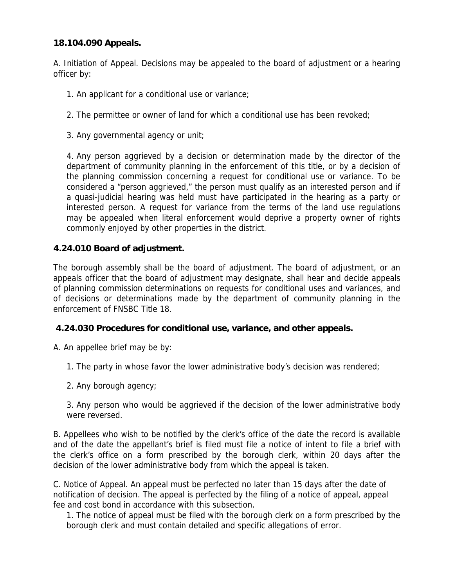# **18.104.090 Appeals.**

A. Initiation of [Appeal.](http://www.codepublishing.com/AK/FairbanksNorthStarBorough/cgi/defs.rb?scope=18&term=appeal) Decisions may be appealed to the board of adjustment or a hearing officer by:

- 1. An applicant for a conditional [use](http://www.codepublishing.com/AK/FairbanksNorthStarBorough/cgi/defs.rb?scope=18&term=use) or [variance;](http://www.codepublishing.com/AK/FairbanksNorthStarBorough/cgi/defs.rb?scope=18&term=variance)
- 2. The permittee or [owner](http://www.codepublishing.com/AK/FairbanksNorthStarBorough/cgi/defs.rb?scope=18&term=owner) of land for which a conditional [use](http://www.codepublishing.com/AK/FairbanksNorthStarBorough/cgi/defs.rb?scope=18&term=use) has been revoked;
- 3. Any governmental agency or unit;

4. Any person aggrieved by a decision or determination made by the director of the department of community planning in the enforcement of this title, or by a decision of the planning commission concerning a request for conditional [use](http://www.codepublishing.com/AK/FairbanksNorthStarBorough/cgi/defs.rb?scope=18&term=use) or [variance.](http://www.codepublishing.com/AK/FairbanksNorthStarBorough/cgi/defs.rb?scope=18&term=variance) To be considered a "person aggrieved," the person must qualify as an [interested person](http://www.codepublishing.com/AK/FairbanksNorthStarBorough/cgi/defs.rb?scope=18&term=interested-persons) and if a quasi-judicial hearing was held must have participated in the hearing as a party or [interested person.](http://www.codepublishing.com/AK/FairbanksNorthStarBorough/cgi/defs.rb?scope=18&term=interested-persons) A request for [variance](http://www.codepublishing.com/AK/FairbanksNorthStarBorough/cgi/defs.rb?scope=18&term=variance) from the terms of the land [use](http://www.codepublishing.com/AK/FairbanksNorthStarBorough/cgi/defs.rb?scope=18&term=use) regulations may be appealed when literal enforcement would deprive a property [owner](http://www.codepublishing.com/AK/FairbanksNorthStarBorough/cgi/defs.rb?scope=18&term=owner) of rights commonly enjoyed by other properties in the district.

# **4.24.010 Board of adjustment.**

The borough assembly shall be the board of adjustment. The board of adjustment, or an [appeals](http://www.codepublishing.com/AK/FairbanksNorthStarBorough/cgi/defs.rb?scope=0424&term=appeal) officer that the board of adjustment may designate, shall hear and decide [appeals](http://www.codepublishing.com/AK/FairbanksNorthStarBorough/cgi/defs.rb?scope=0424&term=appeal) of planning commission determinations on requests for conditional [uses](http://www.codepublishing.com/AK/FairbanksNorthStarBorough/cgi/defs.rb?scope=0424&term=use) and [variances,](http://www.codepublishing.com/AK/FairbanksNorthStarBorough/cgi/defs.rb?scope=0424&term=variance) and of decisions or determinations made by the department of community planning in the enforcement of FNSBC Title [18.](http://www.codepublishing.com/AK/FairbanksNorthStarBorough/#!/FNSBC18/FNSBC18.html#18)

### **4.24.030 Procedures for conditional use, variance, and other appeals.**

A. An appellee brief may be by:

1. The party in whose favor the lower administrative body's decision was rendered;

2. Any borough agency;

3. Any person who would be aggrieved if the decision of the lower administrative body were reversed.

B. Appellees who wish to be notified by the clerk's office of the date the record is available and of the date the appellant's brief is filed must file a notice of intent to file a brief with the clerk's office on a form prescribed by the borough clerk, within 20 days after the decision of the lower administrative body from which the [appeal](http://www.codepublishing.com/AK/FairbanksNorthStarBorough/cgi/defs.rb?scope=0424&term=appeal) is taken.

C. Notice of Appeal. An [appeal](http://www.codepublishing.com/AK/FairbanksNorthStarBorough/cgi/defs.rb?scope=0424&term=appeal) must be perfected no later than 15 days after the date of notification of decision. The [appeal](http://www.codepublishing.com/AK/FairbanksNorthStarBorough/cgi/defs.rb?scope=0424&term=appeal) is perfected by the filing of a notice of [appeal, appeal](http://www.codepublishing.com/AK/FairbanksNorthStarBorough/cgi/defs.rb?scope=0424&term=appeal) fee and cost bond in accordance with this subsection.

1. The notice of [appeal](http://www.codepublishing.com/AK/FairbanksNorthStarBorough/cgi/defs.rb?scope=0424&term=appeal) must be filed with the borough clerk on a form prescribed by the borough clerk and must contain detailed and specific allegations of error.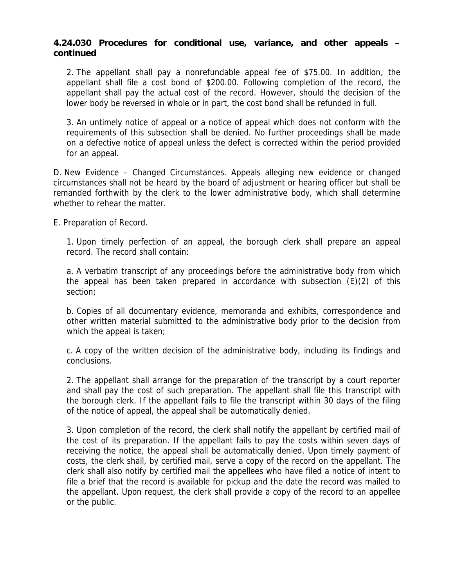2. The appellant shall pay a nonrefundable [appeal](http://www.codepublishing.com/AK/FairbanksNorthStarBorough/cgi/defs.rb?scope=0424&term=appeal) fee of \$75.00. In addition, the appellant shall file a cost bond of \$200.00. Following completion of the record, the appellant shall pay the actual cost of the record. However, should the decision of the lower body be reversed in whole or in part, the cost bond shall be refunded in full.

3. An untimely notice of [appeal](http://www.codepublishing.com/AK/FairbanksNorthStarBorough/cgi/defs.rb?scope=0424&term=appeal) or a notice of [appeal](http://www.codepublishing.com/AK/FairbanksNorthStarBorough/cgi/defs.rb?scope=0424&term=appeal) which does not conform with the requirements of this subsection shall be denied. No further proceedings shall be made on a defective notice of [appeal](http://www.codepublishing.com/AK/FairbanksNorthStarBorough/cgi/defs.rb?scope=0424&term=appeal) unless the defect is corrected within the period provided for an [appeal.](http://www.codepublishing.com/AK/FairbanksNorthStarBorough/cgi/defs.rb?scope=0424&term=appeal)

D. New Evidence – Changed Circumstances. [Appeals](http://www.codepublishing.com/AK/FairbanksNorthStarBorough/cgi/defs.rb?scope=0424&term=appeal) alleging new evidence or changed circumstances shall not be heard by the board of adjustment or hearing officer but shall be remanded forthwith by the clerk to the lower administrative body, which shall determine whether to rehear the matter.

E. Preparation of Record.

1. Upon timely perfection of an [appeal,](http://www.codepublishing.com/AK/FairbanksNorthStarBorough/cgi/defs.rb?scope=0424&term=appeal) the borough clerk shall prepare an [appeal](http://www.codepublishing.com/AK/FairbanksNorthStarBorough/cgi/defs.rb?scope=0424&term=appeal) record. The record shall contain:

a. A verbatim transcript of any proceedings before the administrative body from which the [appeal](http://www.codepublishing.com/AK/FairbanksNorthStarBorough/cgi/defs.rb?scope=0424&term=appeal) has been taken prepared in accordance with subsection (E)(2) of this section;

b. Copies of all documentary evidence, memoranda and exhibits, correspondence and other written material submitted to the administrative body prior to the decision from which the [appeal](http://www.codepublishing.com/AK/FairbanksNorthStarBorough/cgi/defs.rb?scope=0424&term=appeal) is taken;

c. A copy of the written decision of the administrative body, including its findings and conclusions.

2. The appellant shall arrange for the preparation of the transcript by a court reporter and shall pay the cost of such preparation. The appellant shall file this transcript with the borough clerk. If the appellant fails to file the transcript within 30 days of the filing of the notice of [appeal,](http://www.codepublishing.com/AK/FairbanksNorthStarBorough/cgi/defs.rb?scope=0424&term=appeal) the [appeal](http://www.codepublishing.com/AK/FairbanksNorthStarBorough/cgi/defs.rb?scope=0424&term=appeal) shall be automatically denied.

3. Upon completion of the record, the clerk shall notify the appellant by certified mail of the cost of its preparation. If the appellant fails to pay the costs within seven days of receiving the notice, the [appeal](http://www.codepublishing.com/AK/FairbanksNorthStarBorough/cgi/defs.rb?scope=0424&term=appeal) shall be automatically denied. Upon timely payment of costs, the clerk shall, by certified mail, serve a copy of the record on the appellant. The clerk shall also notify by certified mail the appellees who have filed a notice of intent to file a brief that the record is available for pickup and the date the record was mailed to the appellant. Upon request, the clerk shall provide a copy of the record to an appellee or the public.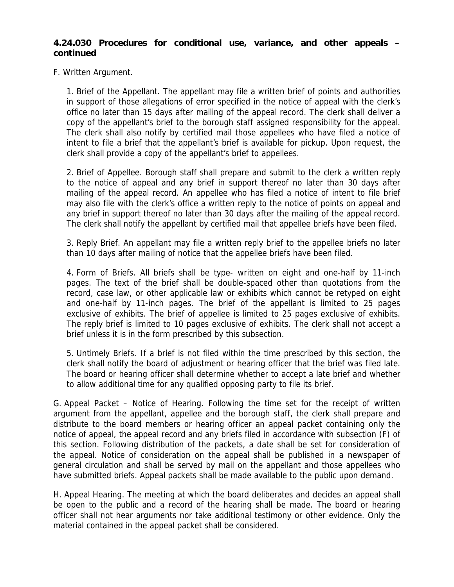F. Written Argument.

1. Brief of the Appellant. The appellant may file a written brief of points and authorities in support of those allegations of error specified in the notice of [appeal](http://www.codepublishing.com/AK/FairbanksNorthStarBorough/cgi/defs.rb?scope=0424&term=appeal) with the clerk's office no later than 15 days after mailing of the [appeal](http://www.codepublishing.com/AK/FairbanksNorthStarBorough/cgi/defs.rb?scope=0424&term=appeal) record. The clerk shall deliver a copy of the appellant's brief to the borough staff assigned responsibility for the [appeal.](http://www.codepublishing.com/AK/FairbanksNorthStarBorough/cgi/defs.rb?scope=0424&term=appeal) The clerk shall also notify by certified mail those appellees who have filed a notice of intent to file a brief that the appellant's brief is available for pickup. Upon request, the clerk shall provide a copy of the appellant's brief to appellees.

2. Brief of Appellee. Borough staff shall prepare and submit to the clerk a written reply to the notice of [appeal](http://www.codepublishing.com/AK/FairbanksNorthStarBorough/cgi/defs.rb?scope=0424&term=appeal) and any brief in support thereof no later than 30 days after mailing of the [appeal](http://www.codepublishing.com/AK/FairbanksNorthStarBorough/cgi/defs.rb?scope=0424&term=appeal) record. An appellee who has filed a notice of intent to file brief may also file with the clerk's office a written reply to the notice of points on [appeal](http://www.codepublishing.com/AK/FairbanksNorthStarBorough/cgi/defs.rb?scope=0424&term=appeal) and any brief in support thereof no later than 30 days after the mailing of the [appeal](http://www.codepublishing.com/AK/FairbanksNorthStarBorough/cgi/defs.rb?scope=0424&term=appeal) record. The clerk shall notify the appellant by certified mail that appellee briefs have been filed.

3. Reply Brief. An appellant may file a written reply brief to the appellee briefs no later than 10 days after mailing of notice that the appellee briefs have been filed.

4. Form of Briefs. All briefs shall be type- written on eight and one-half by 11-inch pages. The text of the brief shall be double-spaced other than quotations from the record, case law, or other applicable law or exhibits which cannot be retyped on eight and one-half by 11-inch pages. The brief of the appellant is limited to 25 pages exclusive of exhibits. The brief of appellee is limited to 25 pages exclusive of exhibits. The reply brief is limited to 10 pages exclusive of exhibits. The clerk shall not accept a brief unless it is in the form prescribed by this subsection.

5. Untimely Briefs. If a brief is not filed within the time prescribed by this section, the clerk shall notify the board of adjustment or hearing officer that the brief was filed late. The board or hearing officer shall determine whether to accept a late brief and whether to allow additional time for any qualified opposing party to file its brief.

G. Appeal Packet – Notice of Hearing. Following the time set for the receipt of written argument from the appellant, appellee and the borough staff, the clerk shall prepare and distribute to the board members or hearing officer an [appeal](http://www.codepublishing.com/AK/FairbanksNorthStarBorough/cgi/defs.rb?scope=0424&term=appeal) packet containing only the notice of [appeal,](http://www.codepublishing.com/AK/FairbanksNorthStarBorough/cgi/defs.rb?scope=0424&term=appeal) the [appeal](http://www.codepublishing.com/AK/FairbanksNorthStarBorough/cgi/defs.rb?scope=0424&term=appeal) record and any briefs filed in accordance with subsection (F) of this section. Following distribution of the packets, a date shall be set for consideration of the [appeal.](http://www.codepublishing.com/AK/FairbanksNorthStarBorough/cgi/defs.rb?scope=0424&term=appeal) Notice of consideration on the [appeal](http://www.codepublishing.com/AK/FairbanksNorthStarBorough/cgi/defs.rb?scope=0424&term=appeal) shall be published in a newspaper of general circulation and shall be served by mail on the appellant and those appellees who have submitted briefs. [Appeal](http://www.codepublishing.com/AK/FairbanksNorthStarBorough/cgi/defs.rb?scope=0424&term=appeal) packets shall be made available to the public upon demand.

H. Appeal Hearing. The meeting at which the board deliberates and decides an [appeal](http://www.codepublishing.com/AK/FairbanksNorthStarBorough/cgi/defs.rb?scope=0424&term=appeal) shall be open to the public and a record of the hearing shall be made. The board or hearing officer shall not hear arguments nor take additional testimony or other evidence. Only the material contained in the [appeal](http://www.codepublishing.com/AK/FairbanksNorthStarBorough/cgi/defs.rb?scope=0424&term=appeal) packet shall be considered.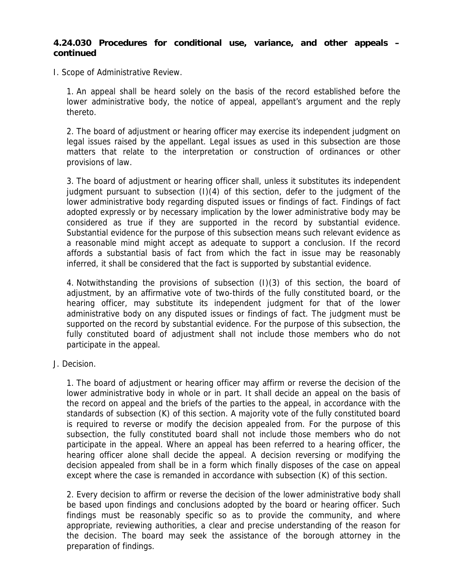I. Scope of Administrative Review.

1. An [appeal](http://www.codepublishing.com/AK/FairbanksNorthStarBorough/cgi/defs.rb?scope=0424&term=appeal) shall be heard solely on the basis of the record established before the lower administrative body, the notice of [appeal,](http://www.codepublishing.com/AK/FairbanksNorthStarBorough/cgi/defs.rb?scope=0424&term=appeal) appellant's argument and the reply thereto.

2. The board of adjustment or hearing officer may exercise its independent judgment on legal issues raised by the appellant. Legal issues as used in this subsection are those matters that relate to the interpretation or construction of ordinances or other provisions of law.

3. The board of adjustment or hearing officer shall, unless it substitutes its independent judgment pursuant to subsection (I)(4) of this section, defer to the judgment of the lower administrative body regarding disputed issues or findings of fact. Findings of fact adopted expressly or by necessary implication by the lower administrative body may be considered as true if they are supported in the record by substantial evidence. Substantial evidence for the purpose of this subsection means such relevant evidence as a reasonable mind might accept as adequate to support a conclusion. If the record affords a substantial basis of fact from which the fact in issue may be reasonably inferred, it shall be considered that the fact is supported by substantial evidence.

4. Notwithstanding the provisions of subsection (I)(3) of this section, the board of adjustment, by an affirmative vote of two-thirds of the fully constituted board, or the hearing officer, may substitute its independent judgment for that of the lower administrative body on any disputed issues or findings of fact. The judgment must be supported on the record by substantial evidence. For the purpose of this subsection, the fully constituted board of adjustment shall not include those members who do not participate in the [appeal.](http://www.codepublishing.com/AK/FairbanksNorthStarBorough/cgi/defs.rb?scope=0424&term=appeal)

J. Decision.

1. The board of adjustment or hearing officer may affirm or reverse the decision of the lower administrative body in whole or in part. It shall decide an [appeal](http://www.codepublishing.com/AK/FairbanksNorthStarBorough/cgi/defs.rb?scope=0424&term=appeal) on the basis of the record on [appeal](http://www.codepublishing.com/AK/FairbanksNorthStarBorough/cgi/defs.rb?scope=0424&term=appeal) and the briefs of the parties to the [appeal,](http://www.codepublishing.com/AK/FairbanksNorthStarBorough/cgi/defs.rb?scope=0424&term=appeal) in accordance with the standards of subsection (K) of this section. A majority vote of the fully constituted board is required to reverse or modify the decision appealed from. For the purpose of this subsection, the fully constituted board shall not include those members who do not participate in the [appeal.](http://www.codepublishing.com/AK/FairbanksNorthStarBorough/cgi/defs.rb?scope=0424&term=appeal) Where an [appeal](http://www.codepublishing.com/AK/FairbanksNorthStarBorough/cgi/defs.rb?scope=0424&term=appeal) has been referred to a hearing officer, the hearing officer alone shall decide the [appeal.](http://www.codepublishing.com/AK/FairbanksNorthStarBorough/cgi/defs.rb?scope=0424&term=appeal) A decision reversing or modifying the decision appealed from shall be in a form which finally disposes of the case on [appeal](http://www.codepublishing.com/AK/FairbanksNorthStarBorough/cgi/defs.rb?scope=0424&term=appeal) except where the case is remanded in accordance with subsection (K) of this section.

2. Every decision to affirm or reverse the decision of the lower administrative body shall be based upon findings and conclusions adopted by the board or hearing officer. Such findings must be reasonably specific so as to provide the community, and where appropriate, reviewing authorities, a clear and precise understanding of the reason for the decision. The board may seek the assistance of the borough attorney in the preparation of findings.